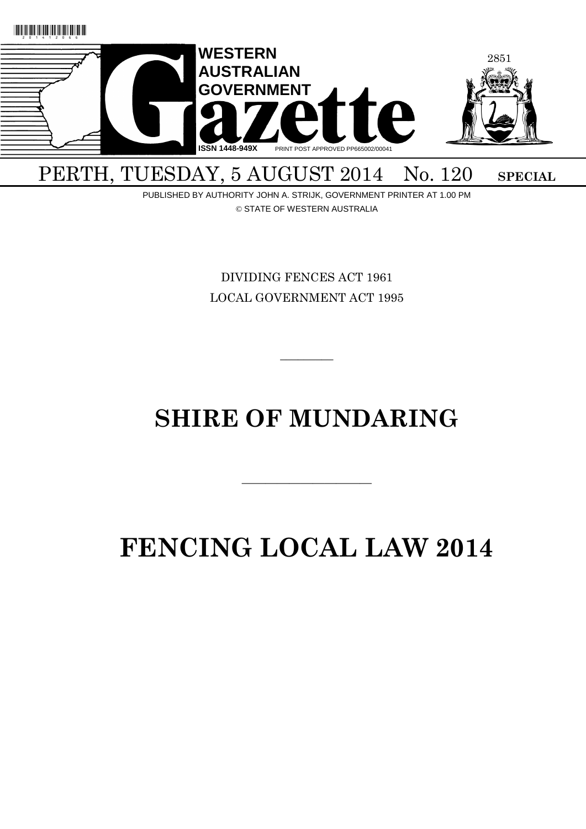

PUBLISHED BY AUTHORITY JOHN A. STRIJK, GOVERNMENT PRINTER AT 1.00 PM © STATE OF WESTERN AUSTRALIA

> DIVIDING FENCES ACT 1961 LOCAL GOVERNMENT ACT 1995

# **SHIRE OF MUNDARING**

 $\overline{\phantom{a}}$  , and the contract of the contract of the contract of the contract of the contract of the contract of the contract of the contract of the contract of the contract of the contract of the contract of the contrac

 $\overline{\phantom{a}}$ 

# **FENCING LOCAL LAW 2014**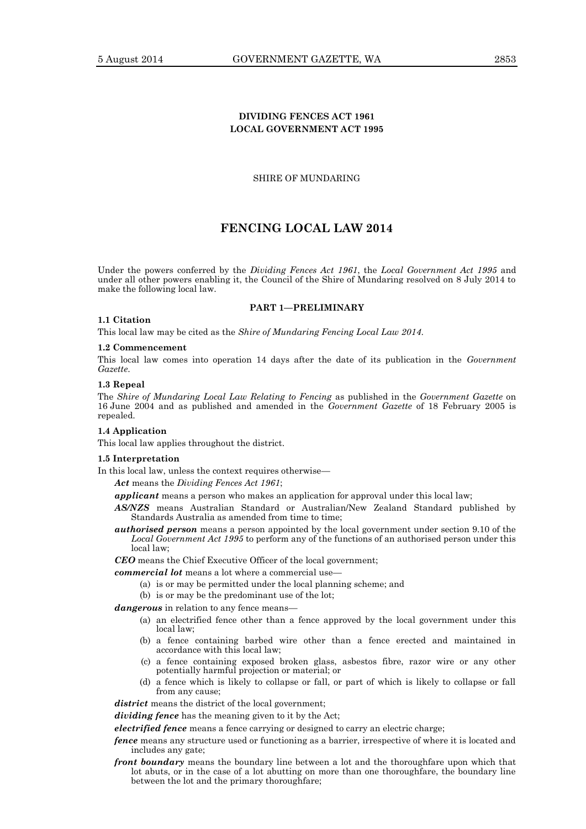# **DIVIDING FENCES ACT 1961 LOCAL GOVERNMENT ACT 1995**

SHIRE OF MUNDARING

# **FENCING LOCAL LAW 2014**

Under the powers conferred by the *Dividing Fences Act 1961*, the *Local Government Act 1995* and under all other powers enabling it, the Council of the Shire of Mundaring resolved on 8 July 2014 to make the following local law.

# **PART 1—PRELIMINARY**

#### **1.1 Citation**

This local law may be cited as the *Shire of Mundaring Fencing Local Law 2014*.

#### **1.2 Commencement**

This local law comes into operation 14 days after the date of its publication in the *Government Gazette*.

# **1.3 Repeal**

The *Shire of Mundaring Local Law Relating to Fencing* as published in the *Government Gazette* on 16 June 2004 and as published and amended in the *Government Gazette* of 18 February 2005 is repealed.

#### **1.4 Application**

This local law applies throughout the district.

#### **1.5 Interpretation**

In this local law, unless the context requires otherwise—

*Act* means the *Dividing Fences Act 1961*;

*applicant* means a person who makes an application for approval under this local law;

- *AS/NZS* means Australian Standard or Australian/New Zealand Standard published by Standards Australia as amended from time to time;
- *authorised person* means a person appointed by the local government under section 9.10 of the *Local Government Act 1995* to perform any of the functions of an authorised person under this local law;

*CEO* means the Chief Executive Officer of the local government;

*commercial lot* means a lot where a commercial use—

- (a) is or may be permitted under the local planning scheme; and
- (b) is or may be the predominant use of the lot;

dangerous in relation to any fence means-

- (a) an electrified fence other than a fence approved by the local government under this local law;
- (b) a fence containing barbed wire other than a fence erected and maintained in accordance with this local law;
- (c) a fence containing exposed broken glass, asbestos fibre, razor wire or any other potentially harmful projection or material; or
- (d) a fence which is likely to collapse or fall, or part of which is likely to collapse or fall from any cause;

district means the district of the local government;

*dividing fence* has the meaning given to it by the Act;

*electrified fence* means a fence carrying or designed to carry an electric charge;

- *fence* means any structure used or functioning as a barrier, irrespective of where it is located and includes any gate;
- *front boundary* means the boundary line between a lot and the thoroughfare upon which that lot abuts, or in the case of a lot abutting on more than one thoroughfare, the boundary line between the lot and the primary thoroughfare;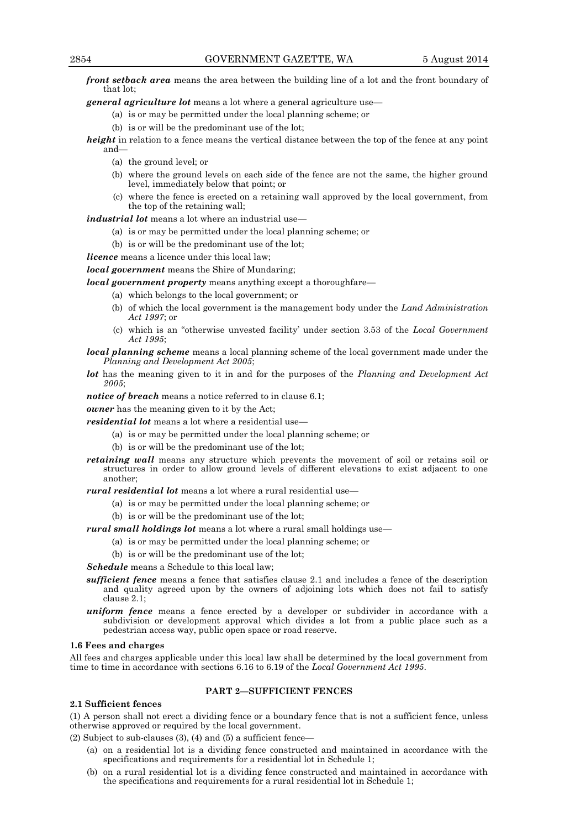*front setback area* means the area between the building line of a lot and the front boundary of that lot;

*general agriculture lot* means a lot where a general agriculture use—

- (a) is or may be permitted under the local planning scheme; or
- (b) is or will be the predominant use of the lot;

*height* in relation to a fence means the vertical distance between the top of the fence at any point and—

- (a) the ground level; or
- (b) where the ground levels on each side of the fence are not the same, the higher ground level, immediately below that point; or
- (c) where the fence is erected on a retaining wall approved by the local government, from the top of the retaining wall;

# *industrial lot* means a lot where an industrial use—

- (a) is or may be permitted under the local planning scheme; or
- (b) is or will be the predominant use of the lot;
- *licence* means a licence under this local law;

*local government* means the Shire of Mundaring;

*local government property* means anything except a thoroughfare—

- (a) which belongs to the local government; or
- (b) of which the local government is the management body under the *Land Administration Act 1997*; or
- (c) which is an "otherwise unvested facility' under section 3.53 of the *Local Government Act 1995*;
- *local planning scheme* means a local planning scheme of the local government made under the *Planning and Development Act 2005*;
- *lot* has the meaning given to it in and for the purposes of the *Planning and Development Act 2005*;

*notice of breach* means a notice referred to in clause 6.1;

*owner* has the meaning given to it by the Act;

*residential lot* means a lot where a residential use—

- (a) is or may be permitted under the local planning scheme; or
- (b) is or will be the predominant use of the lot;
- *retaining wall* means any structure which prevents the movement of soil or retains soil or structures in order to allow ground levels of different elevations to exist adjacent to one another;

*rural residential lot* means a lot where a rural residential use—

- (a) is or may be permitted under the local planning scheme; or
- (b) is or will be the predominant use of the lot;

*rural small holdings lot* means a lot where a rural small holdings use—

- (a) is or may be permitted under the local planning scheme; or
- (b) is or will be the predominant use of the lot;
- *Schedule* means a Schedule to this local law;
- *sufficient fence* means a fence that satisfies clause 2.1 and includes a fence of the description and quality agreed upon by the owners of adjoining lots which does not fail to satisfy clause 2.1;
- *uniform fence* means a fence erected by a developer or subdivider in accordance with a subdivision or development approval which divides a lot from a public place such as a pedestrian access way, public open space or road reserve.

#### **1.6 Fees and charges**

All fees and charges applicable under this local law shall be determined by the local government from time to time in accordance with sections 6.16 to 6.19 of the *Local Government Act 1995*.

#### **PART 2—SUFFICIENT FENCES**

#### **2.1 Sufficient fences**

(1) A person shall not erect a dividing fence or a boundary fence that is not a sufficient fence, unless otherwise approved or required by the local government.

(2) Subject to sub-clauses (3), (4) and (5) a sufficient fence—

- (a) on a residential lot is a dividing fence constructed and maintained in accordance with the specifications and requirements for a residential lot in Schedule 1;
- (b) on a rural residential lot is a dividing fence constructed and maintained in accordance with the specifications and requirements for a rural residential lot in Schedule 1;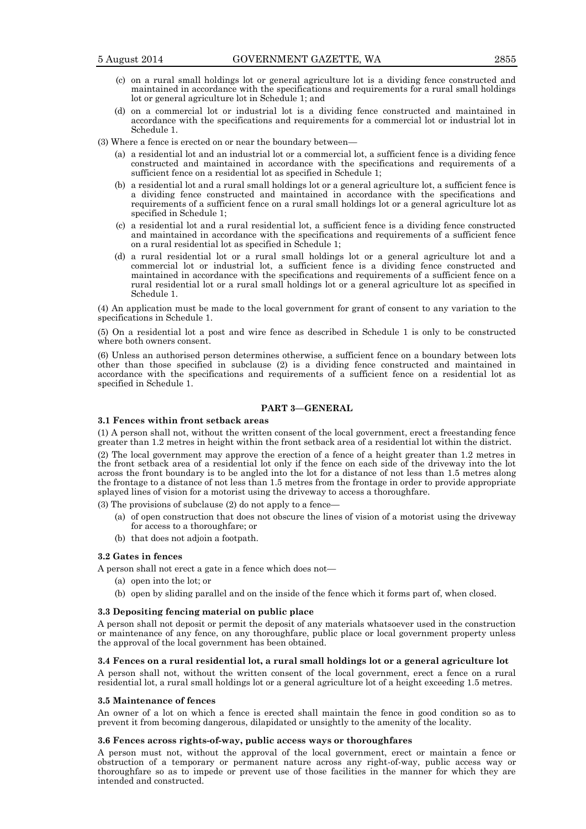- (c) on a rural small holdings lot or general agriculture lot is a dividing fence constructed and maintained in accordance with the specifications and requirements for a rural small holdings lot or general agriculture lot in Schedule 1; and
- (d) on a commercial lot or industrial lot is a dividing fence constructed and maintained in accordance with the specifications and requirements for a commercial lot or industrial lot in Schedule 1.
- (3) Where a fence is erected on or near the boundary between—
	- (a) a residential lot and an industrial lot or a commercial lot, a sufficient fence is a dividing fence constructed and maintained in accordance with the specifications and requirements of a sufficient fence on a residential lot as specified in Schedule 1;
	- (b) a residential lot and a rural small holdings lot or a general agriculture lot, a sufficient fence is a dividing fence constructed and maintained in accordance with the specifications and requirements of a sufficient fence on a rural small holdings lot or a general agriculture lot as specified in Schedule 1;
	- (c) a residential lot and a rural residential lot, a sufficient fence is a dividing fence constructed and maintained in accordance with the specifications and requirements of a sufficient fence on a rural residential lot as specified in Schedule 1;
	- (d) a rural residential lot or a rural small holdings lot or a general agriculture lot and a commercial lot or industrial lot, a sufficient fence is a dividing fence constructed and maintained in accordance with the specifications and requirements of a sufficient fence on a rural residential lot or a rural small holdings lot or a general agriculture lot as specified in Schedule 1.

(4) An application must be made to the local government for grant of consent to any variation to the specifications in Schedule 1.

(5) On a residential lot a post and wire fence as described in Schedule 1 is only to be constructed where both owners consent.

(6) Unless an authorised person determines otherwise, a sufficient fence on a boundary between lots other than those specified in subclause (2) is a dividing fence constructed and maintained in accordance with the specifications and requirements of a sufficient fence on a residential lot as specified in Schedule 1.

# **PART 3—GENERAL**

# **3.1 Fences within front setback areas**

(1) A person shall not, without the written consent of the local government, erect a freestanding fence greater than 1.2 metres in height within the front setback area of a residential lot within the district.

(2) The local government may approve the erection of a fence of a height greater than 1.2 metres in the front setback area of a residential lot only if the fence on each side of the driveway into the lot across the front boundary is to be angled into the lot for a distance of not less than 1.5 metres along the frontage to a distance of not less than 1.5 metres from the frontage in order to provide appropriate splayed lines of vision for a motorist using the driveway to access a thoroughfare.

(3) The provisions of subclause (2) do not apply to a fence—

- (a) of open construction that does not obscure the lines of vision of a motorist using the driveway for access to a thoroughfare; or
- (b) that does not adjoin a footpath.

# **3.2 Gates in fences**

A person shall not erect a gate in a fence which does not—

- (a) open into the lot; or
- (b) open by sliding parallel and on the inside of the fence which it forms part of, when closed.

#### **3.3 Depositing fencing material on public place**

A person shall not deposit or permit the deposit of any materials whatsoever used in the construction or maintenance of any fence, on any thoroughfare, public place or local government property unless the approval of the local government has been obtained.

#### **3.4 Fences on a rural residential lot, a rural small holdings lot or a general agriculture lot**

A person shall not, without the written consent of the local government, erect a fence on a rural residential lot, a rural small holdings lot or a general agriculture lot of a height exceeding 1.5 metres.

#### **3.5 Maintenance of fences**

An owner of a lot on which a fence is erected shall maintain the fence in good condition so as to prevent it from becoming dangerous, dilapidated or unsightly to the amenity of the locality.

#### **3.6 Fences across rights-of-way, public access ways or thoroughfares**

A person must not, without the approval of the local government, erect or maintain a fence or obstruction of a temporary or permanent nature across any right-of-way, public access way or thoroughfare so as to impede or prevent use of those facilities in the manner for which they are intended and constructed.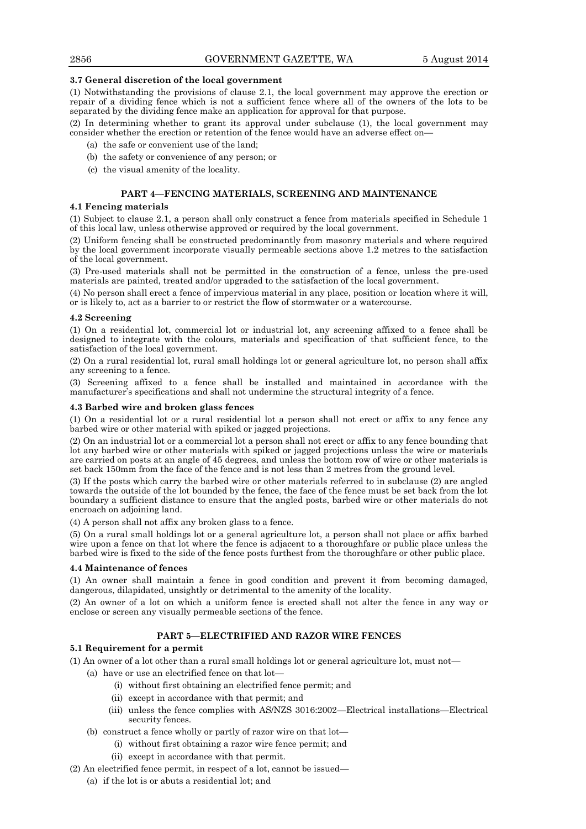#### **3.7 General discretion of the local government**

(1) Notwithstanding the provisions of clause 2.1, the local government may approve the erection or repair of a dividing fence which is not a sufficient fence where all of the owners of the lots to be separated by the dividing fence make an application for approval for that purpose.

(2) In determining whether to grant its approval under subclause (1), the local government may consider whether the erection or retention of the fence would have an adverse effect on—

- (a) the safe or convenient use of the land;
- (b) the safety or convenience of any person; or
- (c) the visual amenity of the locality.

# **PART 4—FENCING MATERIALS, SCREENING AND MAINTENANCE**

#### **4.1 Fencing materials**

(1) Subject to clause 2.1, a person shall only construct a fence from materials specified in Schedule 1 of this local law, unless otherwise approved or required by the local government.

(2) Uniform fencing shall be constructed predominantly from masonry materials and where required by the local government incorporate visually permeable sections above 1.2 metres to the satisfaction of the local government.

(3) Pre-used materials shall not be permitted in the construction of a fence, unless the pre-used materials are painted, treated and/or upgraded to the satisfaction of the local government.

(4) No person shall erect a fence of impervious material in any place, position or location where it will, or is likely to, act as a barrier to or restrict the flow of stormwater or a watercourse.

#### **4.2 Screening**

(1) On a residential lot, commercial lot or industrial lot, any screening affixed to a fence shall be designed to integrate with the colours, materials and specification of that sufficient fence, to the satisfaction of the local government.

(2) On a rural residential lot, rural small holdings lot or general agriculture lot, no person shall affix any screening to a fence.

(3) Screening affixed to a fence shall be installed and maintained in accordance with the manufacturer's specifications and shall not undermine the structural integrity of a fence.

#### **4.3 Barbed wire and broken glass fences**

(1) On a residential lot or a rural residential lot a person shall not erect or affix to any fence any barbed wire or other material with spiked or jagged projections.

(2) On an industrial lot or a commercial lot a person shall not erect or affix to any fence bounding that lot any barbed wire or other materials with spiked or jagged projections unless the wire or materials are carried on posts at an angle of 45 degrees, and unless the bottom row of wire or other materials is set back 150mm from the face of the fence and is not less than 2 metres from the ground level.

(3) If the posts which carry the barbed wire or other materials referred to in subclause (2) are angled towards the outside of the lot bounded by the fence, the face of the fence must be set back from the lot boundary a sufficient distance to ensure that the angled posts, barbed wire or other materials do not encroach on adjoining land.

(4) A person shall not affix any broken glass to a fence.

(5) On a rural small holdings lot or a general agriculture lot, a person shall not place or affix barbed wire upon a fence on that lot where the fence is adjacent to a thoroughfare or public place unless the barbed wire is fixed to the side of the fence posts furthest from the thoroughfare or other public place.

# **4.4 Maintenance of fences**

(1) An owner shall maintain a fence in good condition and prevent it from becoming damaged, dangerous, dilapidated, unsightly or detrimental to the amenity of the locality.

(2) An owner of a lot on which a uniform fence is erected shall not alter the fence in any way or enclose or screen any visually permeable sections of the fence.

# **PART 5—ELECTRIFIED AND RAZOR WIRE FENCES**

#### **5.1 Requirement for a permit**

(1) An owner of a lot other than a rural small holdings lot or general agriculture lot, must not—

- (a) have or use an electrified fence on that lot—
	- (i) without first obtaining an electrified fence permit; and
	- (ii) except in accordance with that permit; and
	- (iii) unless the fence complies with AS/NZS 3016:2002—Electrical installations—Electrical security fences.
- (b) construct a fence wholly or partly of razor wire on that lot—
	- (i) without first obtaining a razor wire fence permit; and
	- (ii) except in accordance with that permit.
- (2) An electrified fence permit, in respect of a lot, cannot be issued—
	- (a) if the lot is or abuts a residential lot; and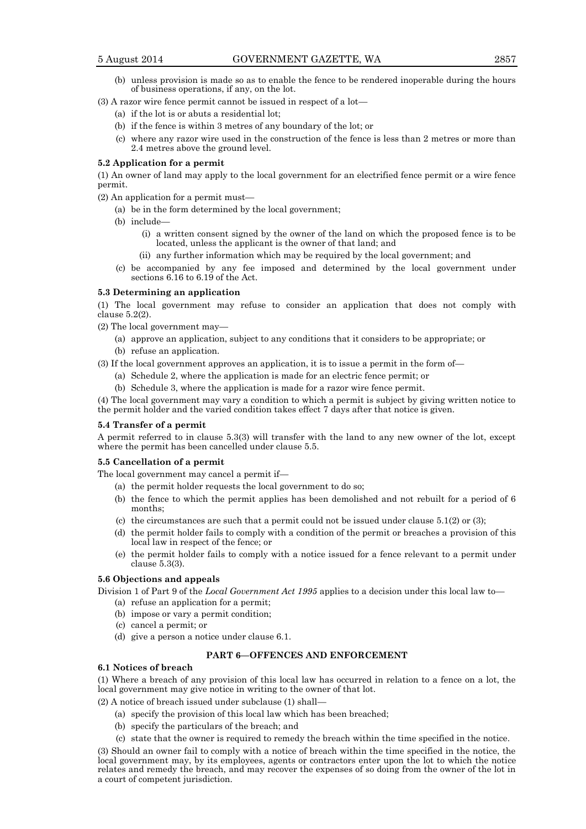- (b) unless provision is made so as to enable the fence to be rendered inoperable during the hours of business operations, if any, on the lot.
- (3) A razor wire fence permit cannot be issued in respect of a lot—
	- (a) if the lot is or abuts a residential lot;
	- (b) if the fence is within 3 metres of any boundary of the lot; or
	- (c) where any razor wire used in the construction of the fence is less than 2 metres or more than 2.4 metres above the ground level.

#### **5.2 Application for a permit**

(1) An owner of land may apply to the local government for an electrified fence permit or a wire fence permit.

(2) An application for a permit must—

- (a) be in the form determined by the local government;
- (b) include—
	- (i) a written consent signed by the owner of the land on which the proposed fence is to be located, unless the applicant is the owner of that land; and
	- (ii) any further information which may be required by the local government; and
- (c) be accompanied by any fee imposed and determined by the local government under sections 6.16 to 6.19 of the Act.

#### **5.3 Determining an application**

(1) The local government may refuse to consider an application that does not comply with clause 5.2(2).

- (2) The local government may—
	- (a) approve an application, subject to any conditions that it considers to be appropriate; or
	- (b) refuse an application.

(3) If the local government approves an application, it is to issue a permit in the form of—

- (a) Schedule 2, where the application is made for an electric fence permit; or
- (b) Schedule 3, where the application is made for a razor wire fence permit.

(4) The local government may vary a condition to which a permit is subject by giving written notice to the permit holder and the varied condition takes effect 7 days after that notice is given.

#### **5.4 Transfer of a permit**

A permit referred to in clause 5.3(3) will transfer with the land to any new owner of the lot, except where the permit has been cancelled under clause 5.5.

#### **5.5 Cancellation of a permit**

The local government may cancel a permit if—

- (a) the permit holder requests the local government to do so;
- (b) the fence to which the permit applies has been demolished and not rebuilt for a period of 6 months;
- (c) the circumstances are such that a permit could not be issued under clause  $5.1(2)$  or  $(3)$ ;
- (d) the permit holder fails to comply with a condition of the permit or breaches a provision of this local law in respect of the fence; or
- (e) the permit holder fails to comply with a notice issued for a fence relevant to a permit under clause 5.3(3).

#### **5.6 Objections and appeals**

Division 1 of Part 9 of the *Local Government Act 1995* applies to a decision under this local law to—

- (a) refuse an application for a permit;
- (b) impose or vary a permit condition;
- (c) cancel a permit; or
- (d) give a person a notice under clause 6.1.

# **PART 6—OFFENCES AND ENFORCEMENT**

#### **6.1 Notices of breach**

(1) Where a breach of any provision of this local law has occurred in relation to a fence on a lot, the local government may give notice in writing to the owner of that lot.

(2) A notice of breach issued under subclause (1) shall—

- (a) specify the provision of this local law which has been breached;
- (b) specify the particulars of the breach; and
- (c) state that the owner is required to remedy the breach within the time specified in the notice.

(3) Should an owner fail to comply with a notice of breach within the time specified in the notice, the local government may, by its employees, agents or contractors enter upon the lot to which the notice relates and remedy the breach, and may recover the expenses of so doing from the owner of the lot in a court of competent jurisdiction.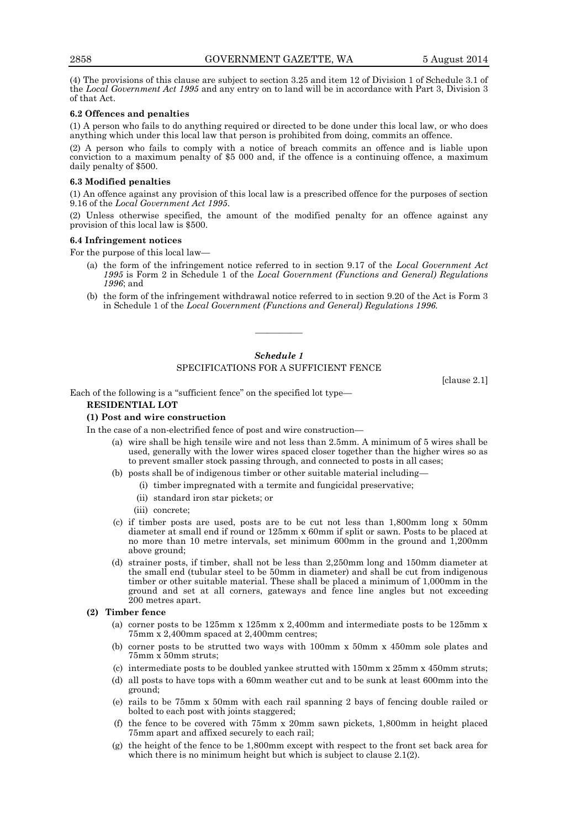(4) The provisions of this clause are subject to section 3.25 and item 12 of Division 1 of Schedule 3.1 of the *Local Government Act 1995* and any entry on to land will be in accordance with Part 3, Division 3 of that Act.

# **6.2 Offences and penalties**

(1) A person who fails to do anything required or directed to be done under this local law, or who does anything which under this local law that person is prohibited from doing, commits an offence.

(2) A person who fails to comply with a notice of breach commits an offence and is liable upon conviction to a maximum penalty of \$5 000 and, if the offence is a continuing offence, a maximum daily penalty of \$500.

#### **6.3 Modified penalties**

(1) An offence against any provision of this local law is a prescribed offence for the purposes of section 9.16 of the *Local Government Act 1995*.

(2) Unless otherwise specified, the amount of the modified penalty for an offence against any provision of this local law is \$500.

# **6.4 Infringement notices**

For the purpose of this local law—

- (a) the form of the infringement notice referred to in section 9.17 of the *Local Government Act 1995* is Form 2 in Schedule 1 of the *Local Government (Functions and General) Regulations 1996*; and
- (b) the form of the infringement withdrawal notice referred to in section 9.20 of the Act is Form 3 in Schedule 1 of the *Local Government (Functions and General) Regulations 1996.*

#### *Schedule 1*

————

#### SPECIFICATIONS FOR A SUFFICIENT FENCE

[clause 2.1]

Each of the following is a "sufficient fence" on the specified lot type—

#### **RESIDENTIAL LOT**

# **(1) Post and wire construction**

In the case of a non-electrified fence of post and wire construction—

- (a) wire shall be high tensile wire and not less than 2.5mm. A minimum of 5 wires shall be used, generally with the lower wires spaced closer together than the higher wires so as to prevent smaller stock passing through, and connected to posts in all cases;
- (b) posts shall be of indigenous timber or other suitable material including—
	- (i) timber impregnated with a termite and fungicidal preservative;
	- (ii) standard iron star pickets; or
	- (iii) concrete;
- (c) if timber posts are used, posts are to be cut not less than 1,800mm long x 50mm diameter at small end if round or 125mm x 60mm if split or sawn. Posts to be placed at no more than 10 metre intervals, set minimum 600mm in the ground and 1,200mm above ground;
- (d) strainer posts, if timber, shall not be less than 2,250mm long and 150mm diameter at the small end (tubular steel to be 50mm in diameter) and shall be cut from indigenous timber or other suitable material. These shall be placed a minimum of 1,000mm in the ground and set at all corners, gateways and fence line angles but not exceeding 200 metres apart.

#### **(2) Timber fence**

- (a) corner posts to be 125mm x 125mm x 2,400mm and intermediate posts to be 125mm x 75mm x 2,400mm spaced at 2,400mm centres;
- corner posts to be strutted two ways with  $100 \text{mm}$  x  $50 \text{mm}$  x  $450 \text{mm}$  sole plates and 75mm x 50mm struts;
- (c) intermediate posts to be doubled yankee strutted with 150mm x 25mm x 450mm struts;
- (d) all posts to have tops with a 60mm weather cut and to be sunk at least 600mm into the ground;
- (e) rails to be 75mm x 50mm with each rail spanning 2 bays of fencing double railed or bolted to each post with joints staggered;
- (f) the fence to be covered with 75mm x 20mm sawn pickets, 1,800mm in height placed 75mm apart and affixed securely to each rail;
- (g) the height of the fence to be 1,800mm except with respect to the front set back area for which there is no minimum height but which is subject to clause 2.1(2).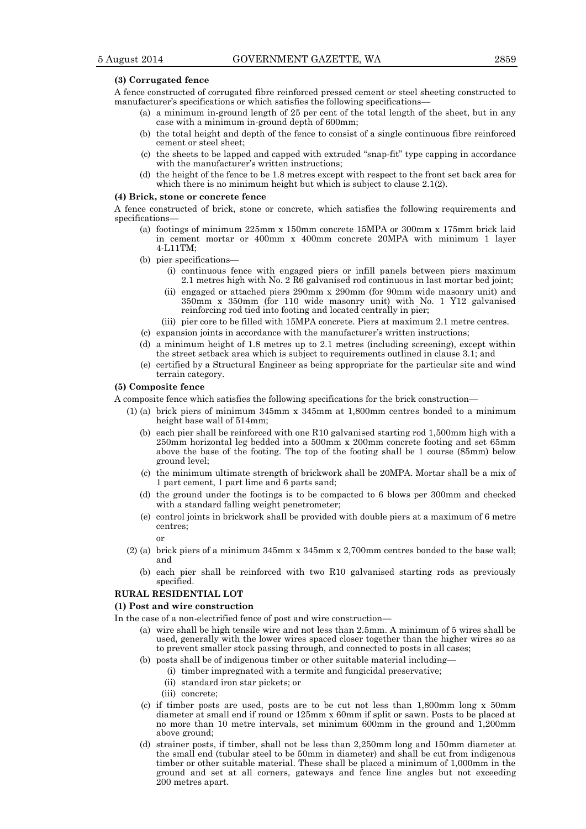#### **(3) Corrugated fence**

A fence constructed of corrugated fibre reinforced pressed cement or steel sheeting constructed to manufacturer's specifications or which satisfies the following specifications—

- (a) a minimum in-ground length of 25 per cent of the total length of the sheet, but in any case with a minimum in-ground depth of 600mm;
- (b) the total height and depth of the fence to consist of a single continuous fibre reinforced cement or steel sheet;
- (c) the sheets to be lapped and capped with extruded "snap-fit" type capping in accordance with the manufacturer's written instructions;
- (d) the height of the fence to be 1.8 metres except with respect to the front set back area for which there is no minimum height but which is subject to clause 2.1(2).

#### **(4) Brick, stone or concrete fence**

A fence constructed of brick, stone or concrete, which satisfies the following requirements and specifications—

- (a) footings of minimum 225mm x 150mm concrete 15MPA or 300mm x 175mm brick laid in cement mortar or 400mm x 400mm concrete 20MPA with minimum 1 layer 4-L11TM;
- (b) pier specifications—
	- (i) continuous fence with engaged piers or infill panels between piers maximum 2.1 metres high with No. 2 R6 galvanised rod continuous in last mortar bed joint;
	- (ii) engaged or attached piers 290mm x 290mm (for 90mm wide masonry unit) and 350mm x 350mm (for 110 wide masonry unit) with No. 1 Y12 galvanised reinforcing rod tied into footing and located centrally in pier;
	- (iii) pier core to be filled with 15MPA concrete. Piers at maximum 2.1 metre centres.
- (c) expansion joints in accordance with the manufacturer's written instructions;
- (d) a minimum height of 1.8 metres up to 2.1 metres (including screening), except within the street setback area which is subject to requirements outlined in clause 3.1; and
- (e) certified by a Structural Engineer as being appropriate for the particular site and wind terrain category.

#### **(5) Composite fence**

A composite fence which satisfies the following specifications for the brick construction—

- (1) (a) brick piers of minimum 345mm x 345mm at 1,800mm centres bonded to a minimum height base wall of 514mm;
	- (b) each pier shall be reinforced with one R10 galvanised starting rod 1,500mm high with a 250mm horizontal leg bedded into a 500mm x 200mm concrete footing and set 65mm above the base of the footing. The top of the footing shall be 1 course (85mm) below ground level;
	- (c) the minimum ultimate strength of brickwork shall be 20MPA. Mortar shall be a mix of 1 part cement, 1 part lime and 6 parts sand;
	- (d) the ground under the footings is to be compacted to 6 blows per 300mm and checked with a standard falling weight penetrometer;
	- (e) control joints in brickwork shall be provided with double piers at a maximum of 6 metre centres;

or

- (2) (a) brick piers of a minimum 345mm x 345mm x 2,700mm centres bonded to the base wall; and
	- (b) each pier shall be reinforced with two R10 galvanised starting rods as previously specified.

# **RURAL RESIDENTIAL LOT**

#### **(1) Post and wire construction**

- In the case of a non-electrified fence of post and wire construction—
	- (a) wire shall be high tensile wire and not less than 2.5mm. A minimum of 5 wires shall be used, generally with the lower wires spaced closer together than the higher wires so as to prevent smaller stock passing through, and connected to posts in all cases;
	- (b) posts shall be of indigenous timber or other suitable material including—
		- (i) timber impregnated with a termite and fungicidal preservative;
		- (ii) standard iron star pickets; or
		- (iii) concrete;
	- (c) if timber posts are used, posts are to be cut not less than 1,800mm long x 50mm diameter at small end if round or 125mm x 60mm if split or sawn. Posts to be placed at no more than 10 metre intervals, set minimum 600mm in the ground and 1,200mm above ground;
	- (d) strainer posts, if timber, shall not be less than 2,250mm long and 150mm diameter at the small end (tubular steel to be 50mm in diameter) and shall be cut from indigenous timber or other suitable material. These shall be placed a minimum of 1,000mm in the ground and set at all corners, gateways and fence line angles but not exceeding 200 metres apart.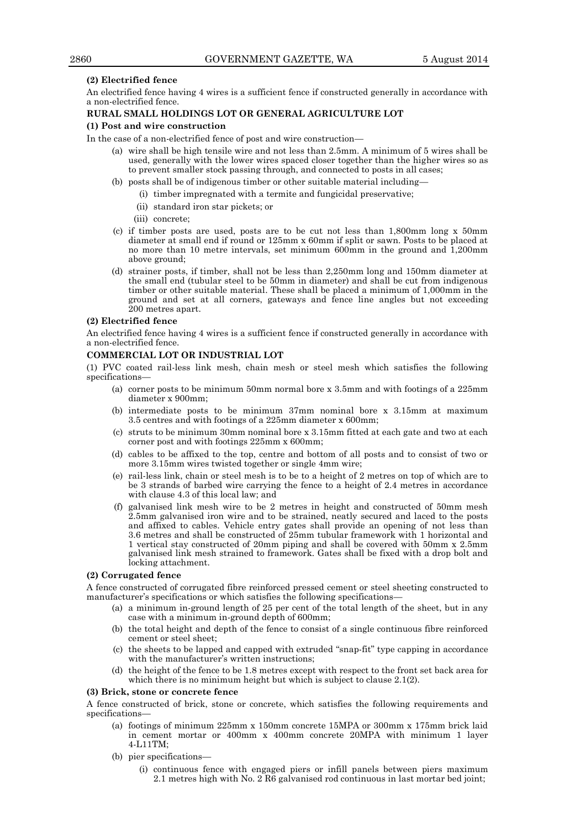# **(2) Electrified fence**

An electrified fence having 4 wires is a sufficient fence if constructed generally in accordance with a non-electrified fence.

# **RURAL SMALL HOLDINGS LOT OR GENERAL AGRICULTURE LOT**

#### **(1) Post and wire construction**

In the case of a non-electrified fence of post and wire construction—

- (a) wire shall be high tensile wire and not less than 2.5mm. A minimum of 5 wires shall be used, generally with the lower wires spaced closer together than the higher wires so as to prevent smaller stock passing through, and connected to posts in all cases;
- (b) posts shall be of indigenous timber or other suitable material including—
	- (i) timber impregnated with a termite and fungicidal preservative;
	- (ii) standard iron star pickets; or
	- (iii) concrete;
- (c) if timber posts are used, posts are to be cut not less than 1,800mm long x 50mm diameter at small end if round or 125mm x 60mm if split or sawn. Posts to be placed at no more than 10 metre intervals, set minimum 600mm in the ground and 1,200mm above ground;
- (d) strainer posts, if timber, shall not be less than 2,250mm long and 150mm diameter at the small end (tubular steel to be 50mm in diameter) and shall be cut from indigenous timber or other suitable material. These shall be placed a minimum of 1,000mm in the ground and set at all corners, gateways and fence line angles but not exceeding 200 metres apart.

# **(2) Electrified fence**

An electrified fence having 4 wires is a sufficient fence if constructed generally in accordance with a non-electrified fence.

# **COMMERCIAL LOT OR INDUSTRIAL LOT**

(1) PVC coated rail-less link mesh, chain mesh or steel mesh which satisfies the following specifications—

- (a) corner posts to be minimum 50mm normal bore x 3.5mm and with footings of a 225mm diameter x 900mm;
- (b) intermediate posts to be minimum 37mm nominal bore x 3.15mm at maximum 3.5 centres and with footings of a 225mm diameter x 600mm;
- (c) struts to be minimum 30mm nominal bore x 3.15mm fitted at each gate and two at each corner post and with footings 225mm x 600mm;
- (d) cables to be affixed to the top, centre and bottom of all posts and to consist of two or more 3.15mm wires twisted together or single 4mm wire;
- (e) rail-less link, chain or steel mesh is to be to a height of 2 metres on top of which are to be 3 strands of barbed wire carrying the fence to a height of 2.4 metres in accordance with clause 4.3 of this local law; and
- (f) galvanised link mesh wire to be 2 metres in height and constructed of 50mm mesh 2.5mm galvanised iron wire and to be strained, neatly secured and laced to the posts and affixed to cables. Vehicle entry gates shall provide an opening of not less than 3.6 metres and shall be constructed of 25mm tubular framework with 1 horizontal and 1 vertical stay constructed of 20mm piping and shall be covered with 50mm x 2.5mm galvanised link mesh strained to framework. Gates shall be fixed with a drop bolt and locking attachment.

### **(2) Corrugated fence**

A fence constructed of corrugated fibre reinforced pressed cement or steel sheeting constructed to manufacturer's specifications or which satisfies the following specifications—

- (a) a minimum in-ground length of 25 per cent of the total length of the sheet, but in any case with a minimum in-ground depth of 600mm;
- (b) the total height and depth of the fence to consist of a single continuous fibre reinforced cement or steel sheet;
- (c) the sheets to be lapped and capped with extruded "snap-fit" type capping in accordance with the manufacturer's written instructions;
- (d) the height of the fence to be 1.8 metres except with respect to the front set back area for which there is no minimum height but which is subject to clause 2.1(2).

#### **(3) Brick, stone or concrete fence**

A fence constructed of brick, stone or concrete, which satisfies the following requirements and specifications—

- (a) footings of minimum 225mm x 150mm concrete 15MPA or 300mm x 175mm brick laid in cement mortar or 400mm x 400mm concrete 20MPA with minimum 1 layer 4-L11TM;
- (b) pier specifications—
	- (i) continuous fence with engaged piers or infill panels between piers maximum 2.1 metres high with No. 2 R6 galvanised rod continuous in last mortar bed joint;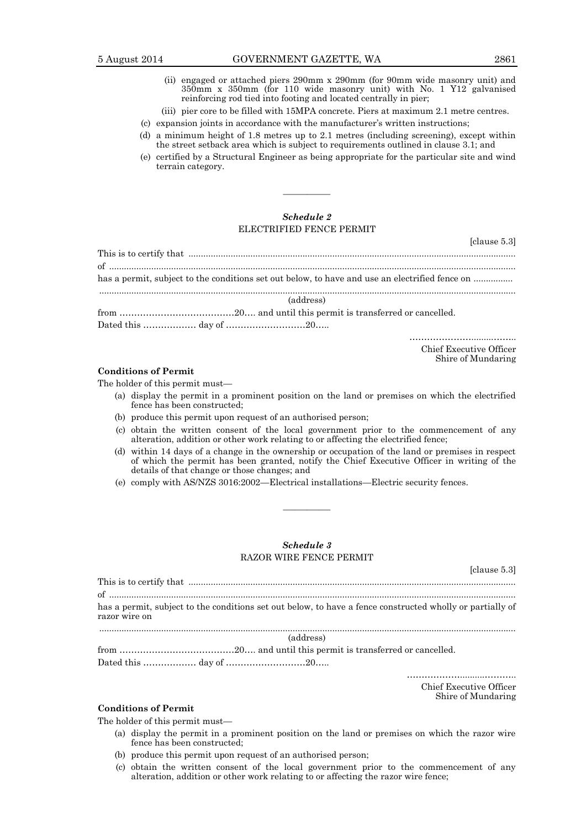- (ii) engaged or attached piers 290mm x 290mm (for 90mm wide masonry unit) and 350mm x 350mm (for 110 wide masonry unit) with No. 1 Y12 galvanised reinforcing rod tied into footing and located centrally in pier;
- (iii) pier core to be filled with 15MPA concrete. Piers at maximum 2.1 metre centres.
- (c) expansion joints in accordance with the manufacturer's written instructions;
- (d) a minimum height of 1.8 metres up to 2.1 metres (including screening), except within the street setback area which is subject to requirements outlined in clause 3.1; and
- (e) certified by a Structural Engineer as being appropriate for the particular site and wind terrain category.

# *Schedule 2* ELECTRIFIED FENCE PERMIT

————

|  |           | has a permit, subject to the conditions set out below, to have and use an electrified fence on |  |
|--|-----------|------------------------------------------------------------------------------------------------|--|
|  | (address) |                                                                                                |  |
|  |           |                                                                                                |  |
|  |           |                                                                                                |  |

………………….........…….. Chief Executive Officer

Shire of Mundaring

[clause 5.3]

# **Conditions of Permit**

The holder of this permit must—

- (a) display the permit in a prominent position on the land or premises on which the electrified fence has been constructed;
- (b) produce this permit upon request of an authorised person;
- (c) obtain the written consent of the local government prior to the commencement of any alteration, addition or other work relating to or affecting the electrified fence;
- (d) within 14 days of a change in the ownership or occupation of the land or premises in respect of which the permit has been granted, notify the Chief Executive Officer in writing of the details of that change or those changes; and
- (e) comply with AS/NZS 3016:2002—Electrical installations—Electric security fences.

# *Schedule 3* RAZOR WIRE FENCE PERMIT

————

| razor wire on |           | has a permit, subject to the conditions set out below, to have a fence constructed wholly or partially of |
|---------------|-----------|-----------------------------------------------------------------------------------------------------------|
|               | (address) |                                                                                                           |
|               |           |                                                                                                           |
|               |           |                                                                                                           |
|               |           |                                                                                                           |

Chief Executive Officer Shire of Mundaring

[clause 5.3]

# **Conditions of Permit**

The holder of this permit must—

- (a) display the permit in a prominent position on the land or premises on which the razor wire fence has been constructed;
- (b) produce this permit upon request of an authorised person;
- (c) obtain the written consent of the local government prior to the commencement of any alteration, addition or other work relating to or affecting the razor wire fence;